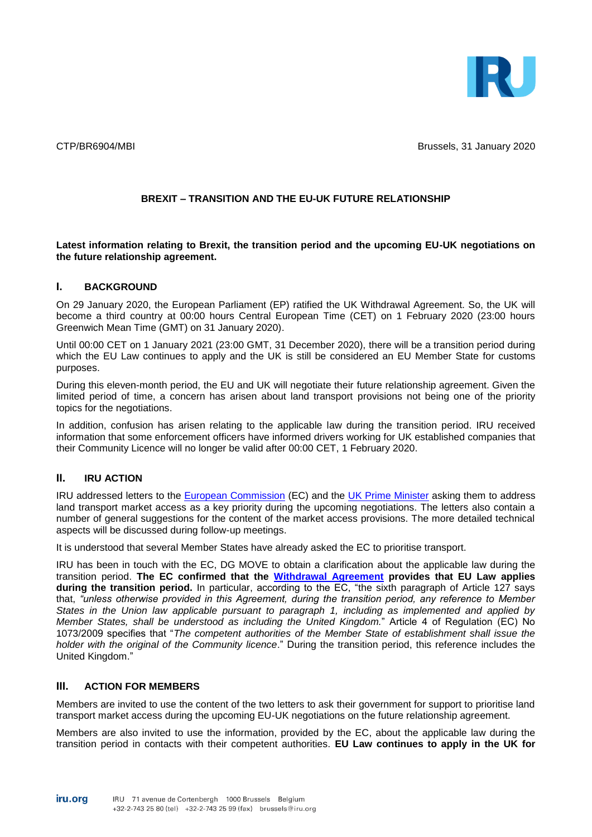

CTP/BR6904/MBI Brussels, 31 January 2020

## **BREXIT – TRANSITION AND THE EU-UK FUTURE RELATIONSHIP**

**Latest information relating to Brexit, the transition period and the upcoming EU-UK negotiations on the future relationship agreement.**

## **I. BACKGROUND**

On 29 January 2020, the European Parliament (EP) ratified the UK Withdrawal Agreement. So, the UK will become a third country at 00:00 hours Central European Time (CET) on 1 February 2020 (23:00 hours Greenwich Mean Time (GMT) on 31 January 2020).

Until 00:00 CET on 1 January 2021 (23:00 GMT, 31 December 2020), there will be a transition period during which the EU Law continues to apply and the UK is still be considered an EU Member State for customs purposes.

During this eleven-month period, the EU and UK will negotiate their future relationship agreement. Given the limited period of time, a concern has arisen about land transport provisions not being one of the priority topics for the negotiations.

In addition, confusion has arisen relating to the applicable law during the transition period. IRU received information that some enforcement officers have informed drivers working for UK established companies that their Community Licence will no longer be valid after 00:00 CET, 1 February 2020.

## **II. IRU ACTION**

IRU addressed letters to the [European Commission](https://www.iru.org/apps/dme-app/direct.on/id.CTP_annexBR6904-1-en.pdf) (EC) and the [UK Prime Minister](https://www.iru.org/apps/dme-app/direct.on/id.CTP_annexBR6904-2-en.pdf) asking them to address land transport market access as a key priority during the upcoming negotiations. The letters also contain a number of general suggestions for the content of the market access provisions. The more detailed technical aspects will be discussed during follow-up meetings.

It is understood that several Member States have already asked the EC to prioritise transport.

IRU has been in touch with the EC, DG MOVE to obtain a clarification about the applicable law during the transition period. **The EC confirmed that the [Withdrawal Agreement](https://eur-lex.europa.eu/legal-content/EN/TXT/PDF/?uri=OJ:C:2019:384I:FULL&from=EN) provides that EU Law applies during the transition period.** In particular, according to the EC, "the sixth paragraph of Article 127 says that, *"unless otherwise provided in this Agreement, during the transition period, any reference to Member States in the Union law applicable pursuant to paragraph 1, including as implemented and applied by Member States, shall be understood as including the United Kingdom.*" Article 4 of Regulation (EC) No 1073/2009 specifies that "*The competent authorities of the Member State of establishment shall issue the holder with the original of the Community licence*." During the transition period, this reference includes the United Kingdom."

## **III. ACTION FOR MEMBERS**

Members are invited to use the content of the two letters to ask their government for support to prioritise land transport market access during the upcoming EU-UK negotiations on the future relationship agreement.

Members are also invited to use the information, provided by the EC, about the applicable law during the transition period in contacts with their competent authorities. **EU Law continues to apply in the UK for**